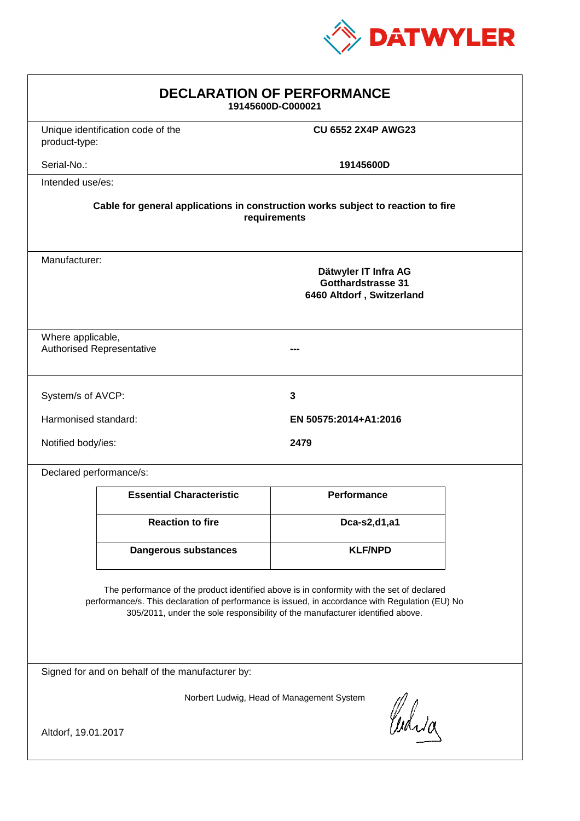

| <b>DECLARATION OF PERFORMANCE</b><br>19145600D-C000021                                                                                                                                                                                                                        |                                   |                           |  |  |
|-------------------------------------------------------------------------------------------------------------------------------------------------------------------------------------------------------------------------------------------------------------------------------|-----------------------------------|---------------------------|--|--|
| product-type:                                                                                                                                                                                                                                                                 | Unique identification code of the | <b>CU 6552 2X4P AWG23</b> |  |  |
| Serial-No.:                                                                                                                                                                                                                                                                   |                                   | 19145600D                 |  |  |
| Intended use/es:                                                                                                                                                                                                                                                              |                                   |                           |  |  |
| Cable for general applications in construction works subject to reaction to fire<br>requirements                                                                                                                                                                              |                                   |                           |  |  |
| Manufacturer:<br>Dätwyler IT Infra AG<br>Gotthardstrasse 31<br>6460 Altdorf, Switzerland                                                                                                                                                                                      |                                   |                           |  |  |
| Where applicable,                                                                                                                                                                                                                                                             | <b>Authorised Representative</b>  |                           |  |  |
| System/s of AVCP:                                                                                                                                                                                                                                                             |                                   | 3                         |  |  |
| Harmonised standard:                                                                                                                                                                                                                                                          |                                   | EN 50575:2014+A1:2016     |  |  |
| Notified body/ies:                                                                                                                                                                                                                                                            |                                   | 2479                      |  |  |
| Declared performance/s:                                                                                                                                                                                                                                                       |                                   |                           |  |  |
|                                                                                                                                                                                                                                                                               | <b>Essential Characteristic</b>   | <b>Performance</b>        |  |  |
|                                                                                                                                                                                                                                                                               | <b>Reaction to fire</b>           | Dca-s2,d1,a1              |  |  |
|                                                                                                                                                                                                                                                                               | <b>Dangerous substances</b>       | <b>KLF/NPD</b>            |  |  |
| The performance of the product identified above is in conformity with the set of declared<br>performance/s. This declaration of performance is issued, in accordance with Regulation (EU) No<br>305/2011, under the sole responsibility of the manufacturer identified above. |                                   |                           |  |  |
| Signed for and on behalf of the manufacturer by:                                                                                                                                                                                                                              |                                   |                           |  |  |
| Norbert Ludwig, Head of Management System<br>Curia<br>Altdorf, 19.01.2017                                                                                                                                                                                                     |                                   |                           |  |  |
|                                                                                                                                                                                                                                                                               |                                   |                           |  |  |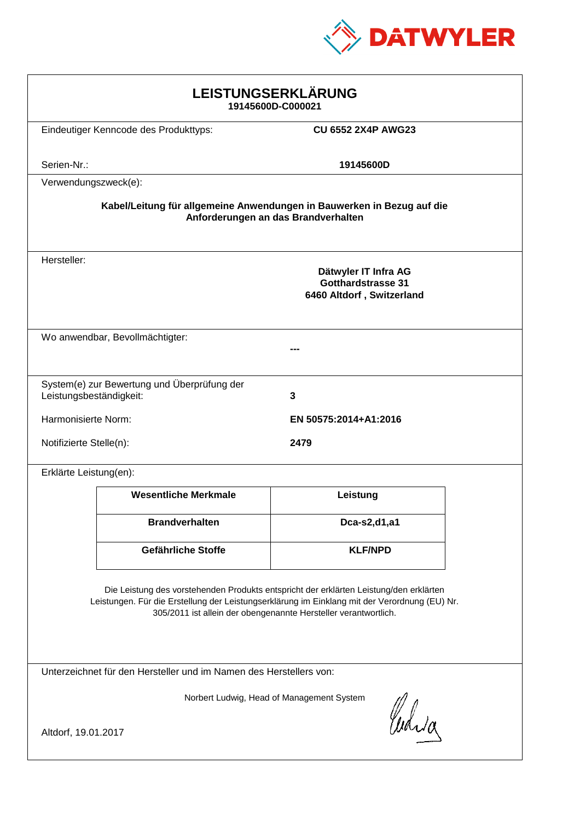

| LEISTUNGSERKLÄRUNG<br>19145600D-C000021                                                                                                                                                                                                                    |                                             |                                                                                |  |  |
|------------------------------------------------------------------------------------------------------------------------------------------------------------------------------------------------------------------------------------------------------------|---------------------------------------------|--------------------------------------------------------------------------------|--|--|
|                                                                                                                                                                                                                                                            | Eindeutiger Kenncode des Produkttyps:       | <b>CU 6552 2X4P AWG23</b>                                                      |  |  |
| Serien-Nr.:                                                                                                                                                                                                                                                |                                             | 19145600D                                                                      |  |  |
| Verwendungszweck(e):                                                                                                                                                                                                                                       |                                             |                                                                                |  |  |
| Kabel/Leitung für allgemeine Anwendungen in Bauwerken in Bezug auf die<br>Anforderungen an das Brandverhalten                                                                                                                                              |                                             |                                                                                |  |  |
| Hersteller:                                                                                                                                                                                                                                                |                                             | Dätwyler IT Infra AG<br><b>Gotthardstrasse 31</b><br>6460 Altdorf, Switzerland |  |  |
|                                                                                                                                                                                                                                                            | Wo anwendbar, Bevollmächtigter:             |                                                                                |  |  |
| Leistungsbeständigkeit:                                                                                                                                                                                                                                    | System(e) zur Bewertung und Überprüfung der | 3                                                                              |  |  |
| Harmonisierte Norm:                                                                                                                                                                                                                                        |                                             | EN 50575:2014+A1:2016                                                          |  |  |
| Notifizierte Stelle(n):                                                                                                                                                                                                                                    |                                             | 2479                                                                           |  |  |
| Erklärte Leistung(en):                                                                                                                                                                                                                                     |                                             |                                                                                |  |  |
|                                                                                                                                                                                                                                                            | <b>Wesentliche Merkmale</b>                 | Leistung                                                                       |  |  |
|                                                                                                                                                                                                                                                            | <b>Brandverhalten</b>                       | Dca-s2,d1,a1                                                                   |  |  |
|                                                                                                                                                                                                                                                            | <b>Gefährliche Stoffe</b>                   | <b>KLF/NPD</b>                                                                 |  |  |
| Die Leistung des vorstehenden Produkts entspricht der erklärten Leistung/den erklärten<br>Leistungen. Für die Erstellung der Leistungserklärung im Einklang mit der Verordnung (EU) Nr.<br>305/2011 ist allein der obengenannte Hersteller verantwortlich. |                                             |                                                                                |  |  |
| Unterzeichnet für den Hersteller und im Namen des Herstellers von:                                                                                                                                                                                         |                                             |                                                                                |  |  |
| Norbert Ludwig, Head of Management System<br>Curia<br>Altdorf, 19.01.2017                                                                                                                                                                                  |                                             |                                                                                |  |  |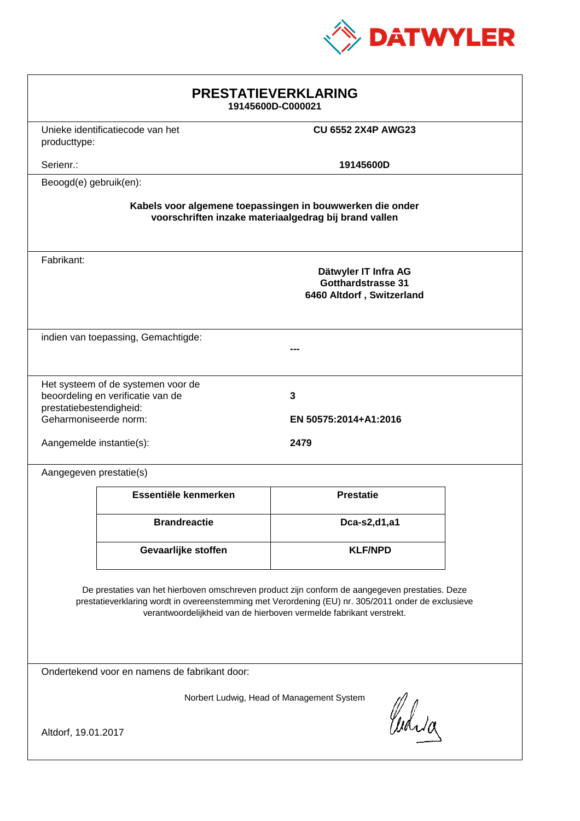

| <b>PRESTATIEVERKLARING</b><br>19145600D-C000021                                                                                                                                                                                                                             |                                     |                                                                                |  |  |
|-----------------------------------------------------------------------------------------------------------------------------------------------------------------------------------------------------------------------------------------------------------------------------|-------------------------------------|--------------------------------------------------------------------------------|--|--|
| producttype:                                                                                                                                                                                                                                                                | Unieke identificatiecode van het    | <b>CU 6552 2X4P AWG23</b>                                                      |  |  |
| Serienr.:                                                                                                                                                                                                                                                                   |                                     | 19145600D                                                                      |  |  |
| Beoogd(e) gebruik(en):                                                                                                                                                                                                                                                      |                                     |                                                                                |  |  |
| Kabels voor algemene toepassingen in bouwwerken die onder<br>voorschriften inzake materiaalgedrag bij brand vallen                                                                                                                                                          |                                     |                                                                                |  |  |
| Fabrikant:                                                                                                                                                                                                                                                                  |                                     | Dätwyler IT Infra AG<br><b>Gotthardstrasse 31</b><br>6460 Altdorf, Switzerland |  |  |
|                                                                                                                                                                                                                                                                             | indien van toepassing, Gemachtigde: |                                                                                |  |  |
| Het systeem of de systemen voor de<br>beoordeling en verificatie van de<br>3<br>prestatiebestendigheid:<br>Geharmoniseerde norm:<br>EN 50575:2014+A1:2016<br>2479<br>Aangemelde instantie(s):                                                                               |                                     |                                                                                |  |  |
| Aangegeven prestatie(s)                                                                                                                                                                                                                                                     |                                     |                                                                                |  |  |
|                                                                                                                                                                                                                                                                             | Essentiële kenmerken                | <b>Prestatie</b>                                                               |  |  |
|                                                                                                                                                                                                                                                                             | <b>Brandreactie</b>                 | Dca-s2,d1,a1                                                                   |  |  |
|                                                                                                                                                                                                                                                                             | Gevaarlijke stoffen                 | <b>KLF/NPD</b>                                                                 |  |  |
| De prestaties van het hierboven omschreven product zijn conform de aangegeven prestaties. Deze<br>prestatieverklaring wordt in overeenstemming met Verordening (EU) nr. 305/2011 onder de exclusieve<br>verantwoordelijkheid van de hierboven vermelde fabrikant verstrekt. |                                     |                                                                                |  |  |
| Ondertekend voor en namens de fabrikant door:                                                                                                                                                                                                                               |                                     |                                                                                |  |  |
| Norbert Ludwig, Head of Management System<br>Curia<br>Altdorf, 19.01.2017                                                                                                                                                                                                   |                                     |                                                                                |  |  |
|                                                                                                                                                                                                                                                                             |                                     |                                                                                |  |  |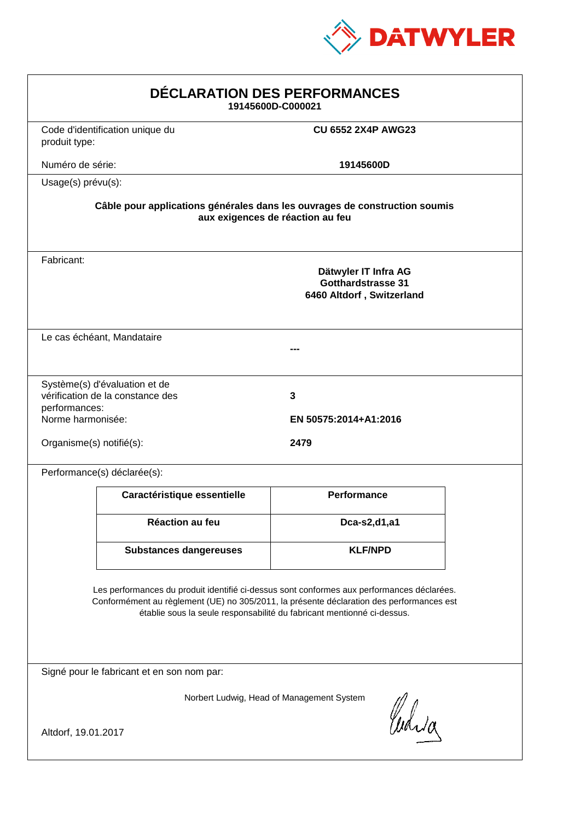

| DÉCLARATION DES PERFORMANCES<br>19145600D-C000021                                                                                                                                                                                                                |                                                                            |                                                                                |  |  |
|------------------------------------------------------------------------------------------------------------------------------------------------------------------------------------------------------------------------------------------------------------------|----------------------------------------------------------------------------|--------------------------------------------------------------------------------|--|--|
| produit type:                                                                                                                                                                                                                                                    | Code d'identification unique du                                            | <b>CU 6552 2X4P AWG23</b>                                                      |  |  |
| Numéro de série:                                                                                                                                                                                                                                                 |                                                                            | 19145600D                                                                      |  |  |
| Usage(s) prévu(s):                                                                                                                                                                                                                                               |                                                                            |                                                                                |  |  |
|                                                                                                                                                                                                                                                                  | Câble pour applications générales dans les ouvrages de construction soumis | aux exigences de réaction au feu                                               |  |  |
| Fabricant:                                                                                                                                                                                                                                                       |                                                                            | Dätwyler IT Infra AG<br><b>Gotthardstrasse 31</b><br>6460 Altdorf, Switzerland |  |  |
|                                                                                                                                                                                                                                                                  | Le cas échéant, Mandataire                                                 |                                                                                |  |  |
| performances:<br>Norme harmonisée:                                                                                                                                                                                                                               | Système(s) d'évaluation et de<br>vérification de la constance des          | $\mathbf{3}$<br>EN 50575:2014+A1:2016                                          |  |  |
| Organisme(s) notifié(s):                                                                                                                                                                                                                                         |                                                                            | 2479                                                                           |  |  |
|                                                                                                                                                                                                                                                                  | Performance(s) déclarée(s):                                                |                                                                                |  |  |
|                                                                                                                                                                                                                                                                  | Caractéristique essentielle                                                | <b>Performance</b>                                                             |  |  |
|                                                                                                                                                                                                                                                                  | Réaction au feu                                                            | Dca-s2,d1,a1                                                                   |  |  |
|                                                                                                                                                                                                                                                                  | <b>Substances dangereuses</b>                                              | <b>KLF/NPD</b>                                                                 |  |  |
| Les performances du produit identifié ci-dessus sont conformes aux performances déclarées.<br>Conformément au règlement (UE) no 305/2011, la présente déclaration des performances est<br>établie sous la seule responsabilité du fabricant mentionné ci-dessus. |                                                                            |                                                                                |  |  |
|                                                                                                                                                                                                                                                                  | Signé pour le fabricant et en son nom par:                                 |                                                                                |  |  |
| Altdorf, 19.01.2017                                                                                                                                                                                                                                              |                                                                            | Norbert Ludwig, Head of Management System<br>Waja                              |  |  |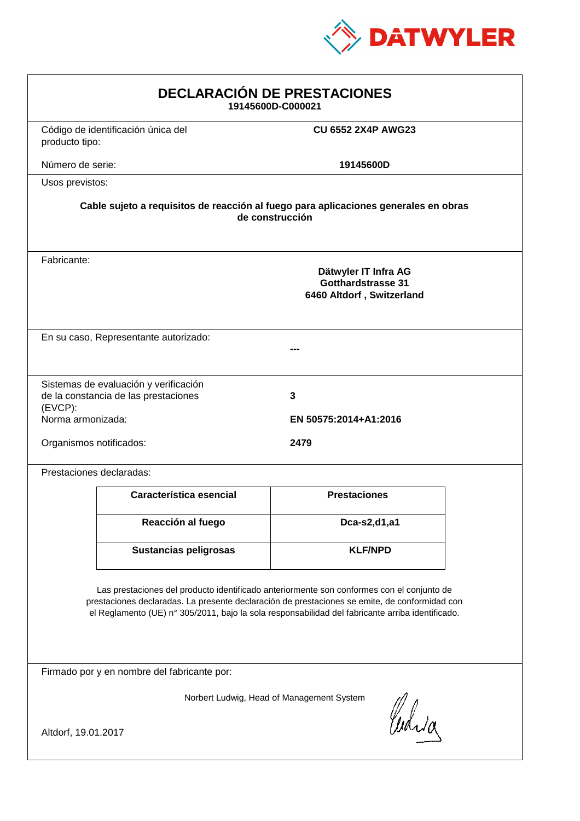

| <b>DECLARACIÓN DE PRESTACIONES</b><br>19145600D-C000021                                                                                                                                                                                                                                        |                                                                                |                            |  |  |
|------------------------------------------------------------------------------------------------------------------------------------------------------------------------------------------------------------------------------------------------------------------------------------------------|--------------------------------------------------------------------------------|----------------------------|--|--|
| producto tipo:                                                                                                                                                                                                                                                                                 | Código de identificación única del                                             | <b>CU 6552 2X4P AWG23</b>  |  |  |
| Número de serie:                                                                                                                                                                                                                                                                               |                                                                                | 19145600D                  |  |  |
| Usos previstos:                                                                                                                                                                                                                                                                                |                                                                                |                            |  |  |
| Cable sujeto a requisitos de reacción al fuego para aplicaciones generales en obras<br>de construcción                                                                                                                                                                                         |                                                                                |                            |  |  |
| Fabricante:                                                                                                                                                                                                                                                                                    | Dätwyler IT Infra AG<br><b>Gotthardstrasse 31</b><br>6460 Altdorf, Switzerland |                            |  |  |
|                                                                                                                                                                                                                                                                                                | En su caso, Representante autorizado:                                          |                            |  |  |
| $(EVCP)$ :<br>Norma armonizada:                                                                                                                                                                                                                                                                | Sistemas de evaluación y verificación<br>de la constancia de las prestaciones  | 3<br>EN 50575:2014+A1:2016 |  |  |
| Organismos notificados:                                                                                                                                                                                                                                                                        |                                                                                | 2479                       |  |  |
|                                                                                                                                                                                                                                                                                                | Prestaciones declaradas:                                                       |                            |  |  |
|                                                                                                                                                                                                                                                                                                | Característica esencial                                                        | <b>Prestaciones</b>        |  |  |
|                                                                                                                                                                                                                                                                                                | Reacción al fuego                                                              | Dca-s2,d1,a1               |  |  |
|                                                                                                                                                                                                                                                                                                | <b>Sustancias peligrosas</b>                                                   | <b>KLF/NPD</b>             |  |  |
| Las prestaciones del producto identificado anteriormente son conformes con el conjunto de<br>prestaciones declaradas. La presente declaración de prestaciones se emite, de conformidad con<br>el Reglamento (UE) nº 305/2011, bajo la sola responsabilidad del fabricante arriba identificado. |                                                                                |                            |  |  |
| Firmado por y en nombre del fabricante por:                                                                                                                                                                                                                                                    |                                                                                |                            |  |  |
| Norbert Ludwig, Head of Management System<br>Curia                                                                                                                                                                                                                                             |                                                                                |                            |  |  |
| Altdorf, 19.01.2017                                                                                                                                                                                                                                                                            |                                                                                |                            |  |  |